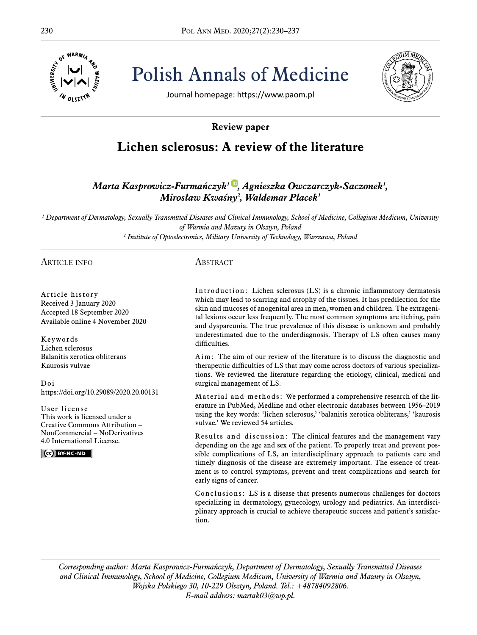

230 Pol ANN MED. 2020;27(2):230–237 Polish Annals of Medicine



Journal homepage: https://www.paom.pl

# **Review paper**

# **Lichen sclerosus: A review of the literature**

*Marta Kasprowicz-Furmańczyk<sup>1</sup>[,](https://orcid.org/0000-0002-4177-8404) Agnieszka Owczarczyk-Saczonek<sup>1</sup> , Mirosław Kwaśny<sup>2</sup> , Waldemar Placek<sup>1</sup>*

*1 Department of Dermatology, Sexually Transmitted Diseases and Clinical Immunology, School of Medicine, Collegium Medicum, University of Warmia and Mazury in Olsztyn, Poland 2 Institute of Optoelectronics, Military University of Technology, Warszawa, Poland*

ARTICLE INFO

## **ABSTRACT**

Article history Received 3 January 2020 Accepted 18 September 2020 Available online 4 November 2020

Keywords Lichen sclerosus Balanitis xerotica obliterans Kaurosis vulvae

Doi https://doi.org/10.29089/2020.20.00131

User license This work is licensed under a Creative Commons Attribution – NonCommercial – NoDerivatives 4.0 International License.

CC BY-NC-ND

Introduction: Lichen sclerosus (LS) is a chronic inflammatory dermatosis which may lead to scarring and atrophy of the tissues. It has predilection for the skin and mucoses of anogenital area in men, women and children. The extragenital lesions occur less frequently. The most common symptoms are itching, pain and dyspareunia. The true prevalence of this disease is unknown and probably underestimated due to the underdiagnosis. Therapy of LS often causes many difficulties.

Aim: The aim of our review of the literature is to discuss the diagnostic and therapeutic difficulties of LS that may come across doctors of various specializations. We reviewed the literature regarding the etiology, clinical, medical and surgical management of LS.

Material and methods: We performed a comprehensive research of the literature in PubMed, Medline and other electronic databases between 1956–2019 using the key words: 'lichen sclerosus,' 'balanitis xerotica obliterans,' 'kaurosis vulvae.' We reviewed 54 articles.

Results and discussion: The clinical features and the management vary depending on the age and sex of the patient. To properly treat and prevent possible complications of LS, an interdisciplinary approach to patients care and timely diagnosis of the disease are extremely important. The essence of treatment is to control symptoms, prevent and treat complications and search for early signs of cancer.

Conclusions: LS is a disease that presents numerous challenges for doctors specializing in dermatology, gynecology, urology and pediatrics. An interdisciplinary approach is crucial to achieve therapeutic success and patient's satisfaction.

*Corresponding author: Marta Kasprowicz-Furmańczyk, Department of Dermatology, Sexually Transmitted Diseases and Clinical Immunology, School of Medicine, Collegium Medicum, University of Warmia and Mazury in Olsztyn, Wojska Polskiego 30, 10-229 Olsztyn, Poland. Tel.: +48784092806. E-mail address: [martak03@wp.pl](mailto:martak03@wp.pl).*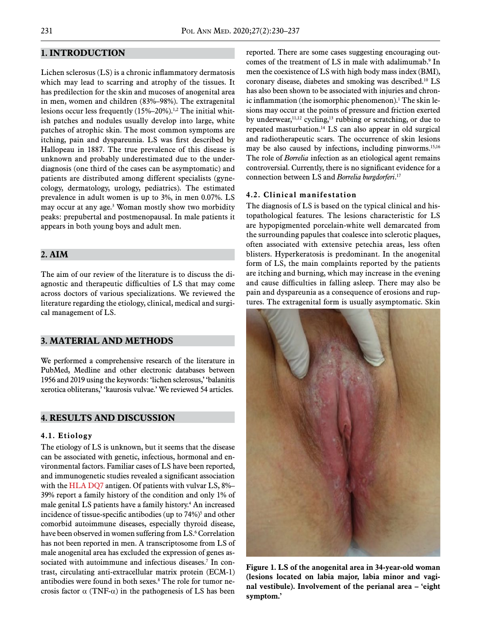## **1. INTRODUCTION**

Lichen sclerosus (LS) is a chronic inflammatory dermatosis which may lead to scarring and atrophy of the tissues. It has predilection for the skin and mucoses of anogenital area in men, women and children (83%–98%). The extragenital lesions occur less frequently (15%–20%).1,2 The initial whitish patches and nodules usually develop into large, white patches of atrophic skin. The most common symptoms are itching, pain and dyspareunia. LS was first described by Hallopeau in 1887. The true prevalence of this disease is unknown and probably underestimated due to the underdiagnosis (one third of the cases can be asymptomatic) and patients are distributed among different specialists (gynecology, dermatology, urology, pediatrics). The estimated prevalence in adult women is up to 3%, in men 0.07%. LS may occur at any age.3 Woman mostly show two morbidity peaks: prepubertal and postmenopausal. In male patients it appears in both young boys and adult men.

## **2. AIM**

The aim of our review of the literature is to discuss the diagnostic and therapeutic difficulties of LS that may come across doctors of various specializations. We reviewed the literature regarding the etiology, clinical, medical and surgical management of LS.

#### **3. MATERIAL AND METHODS**

We performed a comprehensive research of the literature in PubMed, Medline and other electronic databases between 1956 and 2019 using the keywords: 'lichen sclerosus,' 'balanitis xerotica obliterans,' 'kaurosis vulvae.' We reviewed 54 articles.

#### **4. RESULTS AND DISCUSSION**

#### **4.1. Etiology**

The etiology of LS is unknown, but it seems that the disease can be associated with genetic, infectious, hormonal and environmental factors. Familiar cases of LS have been reported, and immunogenetic studies revealed a significant association with the HLA DQ7 antigen. Of patients with vulvar LS, 8%– 39% report a family history of the condition and only 1% of male genital LS patients have a family history.4 An increased incidence of tissue-specific antibodies (up to  $74\frac{1}{2}$ )<sup>5</sup> and other comorbid autoimmune diseases, especially thyroid disease, have been observed in women suffering from LS.<sup>6</sup> Correlation has not been reported in men. A transcriptosome from LS of male anogenital area has excluded the expression of genes associated with autoimmune and infectious diseases.7 In contrast, circulating anti-extracellular matrix protein (ECM-1) antibodies were found in both sexes.8 The role for tumor necrosis factor  $\alpha$  (TNF- $\alpha$ ) in the pathogenesis of LS has been

reported. There are some cases suggesting encouraging outcomes of the treatment of LS in male with adalimumab.<sup>9</sup> In men the coexistence of LS with high body mass index (BMI), coronary disease, diabetes and smoking was described.10 LS has also been shown to be associated with injuries and chronic inflammation (the isomorphic phenomenon).<sup>1</sup> The skin lesions may occur at the points of pressure and friction exerted by underwear,  $11,12$  cycling,  $13$  rubbing or scratching, or due to repeated masturbation.14 LS can also appear in old surgical and radiotherapeutic scars. The occurrence of skin lesions may be also caused by infections, including pinworms.<sup>15,16</sup> The role of *Borrelia* infection as an etiological agent remains controversial. Currently, there is no significant evidence for a connection between LS and *Borrelia burgdorferi*. 17

#### **4.2. Clinical manifestation**

The diagnosis of LS is based on the typical clinical and histopathological features. The lesions characteristic for LS are hypopigmented porcelain-white well demarcated from the surrounding papules that coalesce into sclerotic plaques, often associated with extensive petechia areas, less often blisters. Hyperkeratosis is predominant. In the anogenital form of LS, the main complaints reported by the patients are itching and burning, which may increase in the evening and cause difficulties in falling asleep. There may also be pain and dyspareunia as a consequence of erosions and ruptures. The extragenital form is usually asymptomatic. Skin



**Figure 1. LS of the anogenital area in 34-year-old woman (lesions located on labia major, labia minor and vaginal vestibule). Involvement of the perianal area – 'eight symptom.'**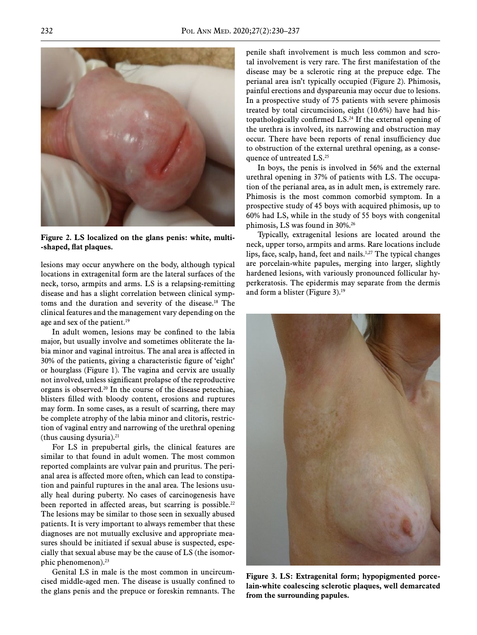

**Figure 2. LS localized on the glans penis: white, multi- -shaped, flat plaques.**

lesions may occur anywhere on the body, although typical locations in extragenital form are the lateral surfaces of the neck, torso, armpits and arms. LS is a relapsing-remitting disease and has a slight correlation between clinical symptoms and the duration and severity of the disease.<sup>18</sup> The clinical features and the management vary depending on the age and sex of the patient.<sup>19</sup>

In adult women, lesions may be confined to the labia major, but usually involve and sometimes obliterate the labia minor and vaginal introitus. The anal area is affected in 30% of the patients, giving a characteristic figure of 'eight' or hourglass (Figure 1). The vagina and cervix are usually not involved, unless significant prolapse of the reproductive organs is observed.20 In the course of the disease petechiae, blisters filled with bloody content, erosions and ruptures may form. In some cases, as a result of scarring, there may be complete atrophy of the labia minor and clitoris, restriction of vaginal entry and narrowing of the urethral opening (thus causing dysuria). $21$ 

For LS in prepubertal girls, the clinical features are similar to that found in adult women. The most common reported complaints are vulvar pain and pruritus. The perianal area is affected more often, which can lead to constipation and painful ruptures in the anal area. The lesions usually heal during puberty. No cases of carcinogenesis have been reported in affected areas, but scarring is possible.<sup>22</sup> The lesions may be similar to those seen in sexually abused patients. It is very important to always remember that these diagnoses are not mutually exclusive and appropriate measures should be initiated if sexual abuse is suspected, especially that sexual abuse may be the cause of LS (the isomorphic phenomenon).23

Genital LS in male is the most common in uncircumcised middle-aged men. The disease is usually confined to the glans penis and the prepuce or foreskin remnants. The

penile shaft involvement is much less common and scrotal involvement is very rare. The first manifestation of the disease may be a sclerotic ring at the prepuce edge. The perianal area isn't typically occupied (Figure 2). Phimosis, painful erections and dyspareunia may occur due to lesions. In a prospective study of 75 patients with severe phimosis treated by total circumcision, eight (10.6%) have had histopathologically confirmed LS.24 If the external opening of the urethra is involved, its narrowing and obstruction may occur. There have been reports of renal insufficiency due to obstruction of the external urethral opening, as a consequence of untreated LS.<sup>25</sup>

In boys, the penis is involved in 56% and the external urethral opening in 37% of patients with LS. The occupation of the perianal area, as in adult men, is extremely rare. Phimosis is the most common comorbid symptom. In a prospective study of 45 boys with acquired phimosis, up to 60% had LS, while in the study of 55 boys with congenital phimosis, LS was found in 30%.26

Typically, extragenital lesions are located around the neck, upper torso, armpits and arms. Rare locations include lips, face, scalp, hand, feet and nails.<sup>1,27</sup> The typical changes are porcelain-white papules, merging into larger, slightly hardened lesions, with variously pronounced follicular hyperkeratosis. The epidermis may separate from the dermis and form a blister (Figure 3).19



**Figure 3. LS: Extragenital form; hypopigmented porcelain-white coalescing sclerotic plaques, well demarcated from the surrounding papules.**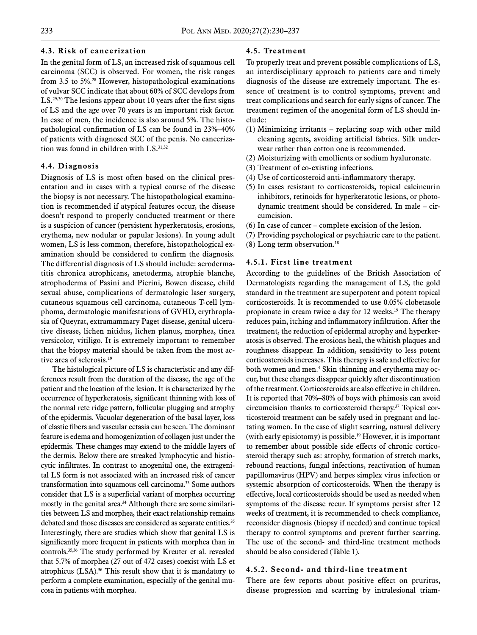#### **4.3. Risk of cancerization**

In the genital form of LS, an increased risk of squamous cell carcinoma (SCC) is observed. For women, the risk ranges from 3.5 to 5%.28 However, histopathological examinations of vulvar SCC indicate that about 60% of SCC develops from LS.<sup>29,30</sup> The lesions appear about 10 years after the first signs of LS and the age over 70 years is an important risk factor. In case of men, the incidence is also around 5%. The histopathological confirmation of LS can be found in 23%–40% of patients with diagnosed SCC of the penis. No cancerization was found in children with LS.<sup>31,32</sup>

#### **4.4. Diagnosis**

Diagnosis of LS is most often based on the clinical presentation and in cases with a typical course of the disease the biopsy is not necessary. The histopathological examination is recommended if atypical features occur, the disease doesn't respond to properly conducted treatment or there is a suspicion of cancer (persistent hyperkeratosis, erosions, erythema, new nodular or papular lesions). In young adult women, LS is less common, therefore, histopathological examination should be considered to confirm the diagnosis. The differential diagnosis of LS should include: [acroderma](https://emedicine.medscape.com/article/1051695-overview)[titis chronica atrophicans](https://emedicine.medscape.com/article/1051695-overview), [anetoderma,](https://emedicine.medscape.com/article/1073850-overview) atrophie blanche, [atrophoderma of Pasini and Pierini](https://emedicine.medscape.com/article/1073949-overview), [Bowen disease](https://emedicine.medscape.com/article/1100113-overview), c[hild](https://emedicine.medscape.com/article/915841-overview) [sexual abuse,](https://emedicine.medscape.com/article/915841-overview) [complications of dermatologic laser surgery,](https://emedicine.medscape.com/article/1120837-overview) [cutaneous squamous cell carcinoma](https://emedicine.medscape.com/article/1965430-overview), [cutaneous T-cell lym](https://emedicine.medscape.com/article/2139720-overview)[phoma](https://emedicine.medscape.com/article/2139720-overview), [dermatologic manifestations of GVHD,](https://emedicine.medscape.com/article/1050580-overview) e[rythropla](https://emedicine.medscape.com/article/1100317-overview)[sia of Queyrat,](https://emedicine.medscape.com/article/1100317-overview) e[xtramammary Paget disease](https://emedicine.medscape.com/article/1100397-overview), genital ulcerative disease, [lichen nitidus,](https://emedicine.medscape.com/article/1123127-overview) l[ichen planus,](https://emedicine.medscape.com/article/1123213-overview) [morphea](https://emedicine.medscape.com/article/1065782-overview), [tinea](https://emedicine.medscape.com/article/1091575-overview) [versicolor,](https://emedicine.medscape.com/article/1091575-overview) [vitiligo.](https://emedicine.medscape.com/article/1068962-overview) It is extremely important to remember that the biopsy material should be taken from the most active area of sclerosis.19

The histological picture of LS is characteristic and any differences result from the duration of the disease, the age of the patient and the location of the lesion. It is characterized by the occurrence of hyperkeratosis, significant thinning with loss of the normal rete ridge pattern, follicular plugging and atrophy of the epidermis. Vacuolar degeneration of the basal layer, loss of elastic fibers and vascular ectasia can be seen. The dominant feature is edema and homogenization of collagen just under the epidermis. These changes may extend to the middle layers of the dermis. Below there are streaked lymphocytic and histiocytic infiltrates. In contrast to anogenital one, the extragenital LS form is not associated with an increased risk of cancer transformation into squamous cell carcinoma.33 Some authors consider that LS is a superficial variant of morphea occurring mostly in the genital area.<sup>34</sup> Although there are some similarities between LS and morphea, their exact relationship remains debated and those diseases are considered as separate entities.<sup>35</sup> Interestingly, there are studies which show that genital LS is significantly more frequent in patients with morphea than in controls.35,36 The study performed by Kreuter et al. revealed that 5.7% of morphea (27 out of 472 cases) coexist with LS et atrophicus (LSA).<sup>36</sup> This result show that it is mandatory to perform a complete examination, especially of the genital mucosa in patients with morphea.

#### **4.5. Treatment**

To properly treat and prevent possible complications of LS, an interdisciplinary approach to patients care and timely diagnosis of the disease are extremely important. The essence of treatment is to control symptoms, prevent and treat complications and search for early signs of cancer. The treatment regimen of the anogenital form of LS should include:

- (1) Minimizing irritants replacing soap with other mild cleaning agents, avoiding artificial fabrics. Silk underwear rather than cotton one is recommended.
- (2) Moisturizing with emollients or sodium hyaluronate.
- (3) Treatment of co-existing infections.
- (4) Use of corticosteroid anti-inflammatory therapy.
- (5) In cases resistant to corticosteroids, topical calcineurin inhibitors, retinoids for hyperkeratotic lesions, or photodynamic treatment should be considered. In male – circumcision.
- (6) In case of cancer complete excision of the lesion.
- (7) Providing psychological or psychiatric care to the patient.
- $(8)$  Long term observation.<sup>18</sup>

#### **4.5.1. First line treatment**

According to the guidelines of the British Association of Dermatologists regarding the management of LS, the gold standard in the treatment are superpotent and potent topical corticosteroids. It is recommended to use 0.05% clobetasole propionate in cream twice a day for 12 weeks.<sup>19</sup> The therapy reduces pain, itching and inflammatory infiltration. After the treatment, the reduction of epidermal atrophy and hyperkeratosis is observed. The erosions heal, the whitish plaques and roughness disappear. In addition, sensitivity to less potent corticosteroids increases. This therapy is safe and effective for both women and men.4 Skin thinning and erythema may occur, but these changes disappear quickly after discontinuation of the treatment. Corticosteroids are also effective in children. It is reported that 70%–80% of boys with phimosis can avoid circumcision thanks to corticosteroid therapy.37 Topical corticosteroid treatment can be safely used in pregnant and lactating women. In the case of slight scarring, natural delivery (with early episiotomy) is possible.19 However, it is important to remember about possible side effects of chronic corticosteroid therapy such as: atrophy, formation of stretch marks, rebound reactions, fungal infections, reactivation of human papillomavirus (HPV) and herpes simplex virus infection or systemic absorption of corticosteroids. When the therapy is effective, local corticosteroids should be used as needed when symptoms of the disease recur. If symptoms persist after 12 weeks of treatment, it is recommended to check compliance, reconsider diagnosis (biopsy if needed) and continue topical therapy to control symptoms and prevent further scarring. The use of the second- and third-line treatment methods should be also considered (Table 1).

#### **4.5.2. Second- and third-line treatment**

There are few reports about positive effect on pruritus, disease progression and scarring by intralesional triam-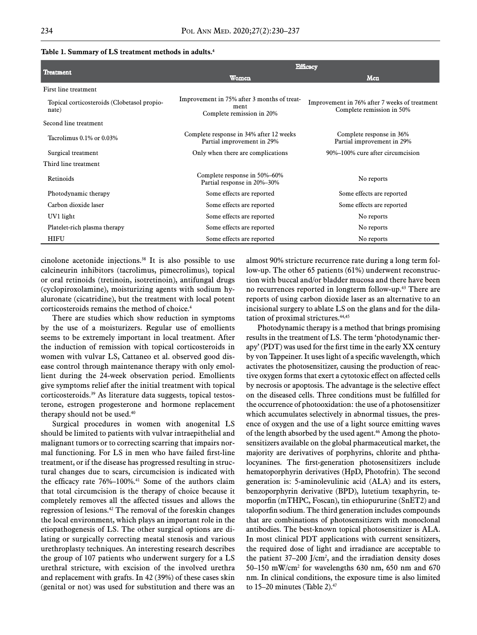| Treatment                                            | <b>Efficacy</b>                                                                  |                                                                            |
|------------------------------------------------------|----------------------------------------------------------------------------------|----------------------------------------------------------------------------|
|                                                      | Women                                                                            | Men                                                                        |
| First line treatment                                 |                                                                                  |                                                                            |
| Topical corticosteroids (Clobetasol propio-<br>nate) | Improvement in 75% after 3 months of treat-<br>ment<br>Complete remission in 20% | Improvement in 76% after 7 weeks of treatment<br>Complete remission in 50% |
| Second line treatment                                |                                                                                  |                                                                            |
| Tacrolimus $0.1\%$ or $0.03\%$                       | Complete response in 34% after 12 weeks<br>Partial improvement in 29%            | Complete response in 36%<br>Partial improvement in 29%                     |
| Surgical treatment                                   | Only when there are complications                                                | 90%–100% cure after circumcision                                           |
| Third line treatment                                 |                                                                                  |                                                                            |
| <b>Retinoids</b>                                     | Complete response in 50%-60%<br>Partial response in 20%-30%                      | No reports                                                                 |
| Photodynamic therapy                                 | Some effects are reported                                                        | Some effects are reported                                                  |
| Carbon dioxide laser                                 | Some effects are reported                                                        | Some effects are reported                                                  |
| UV1 light                                            | Some effects are reported                                                        | No reports                                                                 |
| Platelet-rich plasma therapy                         | Some effects are reported                                                        | No reports                                                                 |
| HIFU                                                 | Some effects are reported                                                        | No reports                                                                 |

#### **Table 1. Summary of LS treatment methods in adults.4**

cinolone acetonide injections.<sup>38</sup> It is also possible to use calcineurin inhibitors (tacrolimus, pimecrolimus), topical or oral retinoids (tretinoin, isotretinoin), antifungal drugs (cyclopiroxolamine), moisturizing agents with sodium hyaluronate (cicatridine), but the treatment with local potent corticosteroids remains the method of choice.4

There are studies which show reduction in symptoms by the use of a moisturizers. Regular use of emollients seems to be extremely important in local treatment. After the induction of remission with topical corticosteroids in women with vulvar LS, Cattaneo et al. observed good disease control through maintenance therapy with only emollient during the 24-week observation period. Emollients give symptoms relief after the initial treatment with topical corticosteroids.39 As literature data suggests, topical testosterone, estrogen progesterone and hormone replacement therapy should not be used.<sup>40</sup>

Surgical procedures in women with anogenital LS should be limited to patients with vulvar intraepithelial and malignant tumors or to correcting scarring that impairs normal functioning. For LS in men who have failed first-line treatment, or if the disease has progressed resulting in structural changes due to scars, circumcision is indicated with the efficacy rate 76%–100%.<sup>41</sup> Some of the authors claim that total circumcision is the therapy of choice because it completely removes all the affected tissues and allows the regression of lesions.42 The removal of the foreskin changes the local environment, which plays an important role in the etiopathogenesis of LS. The other surgical options are dilating or surgically correcting meatal stenosis and various urethroplasty techniques. An interesting research describes the group of 107 patients who underwent surgery for a LS urethral stricture, with excision of the involved urethra and replacement with grafts. In 42 (39%) of these cases skin (genital or not) was used for substitution and there was an almost 90% stricture recurrence rate during a long term follow-up. The other 65 patients (61%) underwent reconstruction with buccal and/or bladder mucosa and there have been no recurrences reported in longterm follow-up.<sup>43</sup> There are reports of using carbon dioxide laser as an alternative to an incisional surgery to ablate LS on the glans and for the dilatation of proximal strictures.<sup>44,45</sup>

Photodynamic therapy is a method that brings promising results in the treatment of LS. The term 'photodynamic therapy' (PDT) was used for the first time in the early XX century by von Tappeiner. It uses light of a specific wavelength, which activates the photosensitizer, causing the production of reactive oxygen forms that exert a cytotoxic effect on affected cells by necrosis or apoptosis. The advantage is the selective effect on the diseased cells. Three conditions must be fulfilled for the occurrence of photooxidation: the use of a photosensitizer which accumulates selectively in abnormal tissues, the presence of oxygen and the use of a light source emitting waves of the length absorbed by the used agent.<sup>46</sup> Among the photosensitizers available on the global pharmaceutical market, the majority are derivatives of porphyrins, chlorite and phthalocyanines. The first-generation photosensitizers include hematoporphyrin derivatives (HpD, Photofrin). The second generation is: 5-aminolevulinic acid (ALA) and its esters, benzoporphyrin derivative (BPD), lutetium texaphyrin, temoporfin (mTHPC, Foscan), tin ethiopururine (SnET2) and taloporfin sodium. The third generation includes compounds that are combinations of photosensitizers with monoclonal antibodies. The best-known topical photosensitizer is ALA. In most clinical PDT applications with current sensitizers, the required dose of light and irradiance are acceptable to the patient  $37-200$  J/cm<sup>2</sup>, and the irradiation density doses 50–150 mW/cm<sup>2</sup> for wavelengths 630 nm, 650 nm and 670 nm. In clinical conditions, the exposure time is also limited to  $15-20$  minutes (Table 2).<sup>47</sup>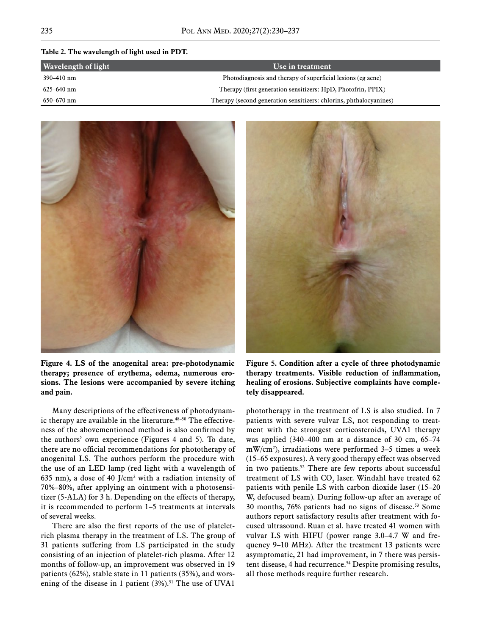#### **Table 2. The wavelength of light used in PDT.**

| Wavelength of light | Use in treatment                                                   |
|---------------------|--------------------------------------------------------------------|
| 390–410 nm          | Photodiagnosis and therapy of superficial lesions (eg acne)        |
| $625 - 640$ nm      | Therapy (first generation sensitizers: HpD, Photofrin, PPIX)       |
| $650 - 670$ nm      | Therapy (second generation sensitizers: chlorins, phthalocyanines) |



**Figure 4. LS of the anogenital area: pre-photodynamic therapy; presence of erythema, edema, numerous erosions. The lesions were accompanied by severe itching and pain.**

Many descriptions of the effectiveness of photodynamic therapy are available in the literature.<sup>48–50</sup> The effectiveness of the abovementioned method is also confirmed by the authors' own experience (Figures 4 and 5). To date, there are no official recommendations for phototherapy of anogenital LS. The authors perform the procedure with the use of an LED lamp (red light with a wavelength of 635 nm), a dose of 40 J/cm<sup>2</sup> with a radiation intensity of 70%–80%, after applying an ointment with a photosensitizer (5-ALA) for 3 h. Depending on the effects of therapy, it is recommended to perform 1–5 treatments at intervals of several weeks.

There are also the first reports of the use of plateletrich plasma therapy in the treatment of LS. The group of 31 patients suffering from LS participated in the study consisting of an injection of platelet-rich plasma. After 12 months of follow-up, an improvement was observed in 19 patients (62%), stable state in 11 patients (35%), and worsening of the disease in 1 patient  $(3\%)$ .<sup>51</sup> The use of UVA1



**Figure 5. Condition after a cycle of three photodynamic therapy treatments. Visible reduction of inflammation, healing of erosions. Subjective complaints have completely disappeared.**

phototherapy in the treatment of LS is also studied. In 7 patients with severe vulvar LS, not responding to treatment with the strongest corticosteroids, UVA1 therapy was applied (340–400 nm at a distance of 30 cm, 65–74 mW/cm2 ), irradiations were performed 3–5 times a week (15–65 exposures). A very good therapy effect was observed in two patients.<sup>52</sup> There are few reports about successful treatment of LS with  $CO_2$  laser. Windahl have treated 62 patients with penile LS with carbon dioxide laser (15–20 W, defocused beam). During follow-up after an average of 30 months, 76% patients had no signs of disease.<sup>53</sup> Some authors report satisfactory results after treatment with focused ultrasound. Ruan et al. have treated 41 women with vulvar LS with HIFU (power range 3.0–4.7 W and frequency 9–10 MHz). After the treatment 13 patients were asymptomatic, 21 had improvement, in 7 there was persistent disease, 4 had recurrence.<sup>54</sup> Despite promising results, all those methods require further research.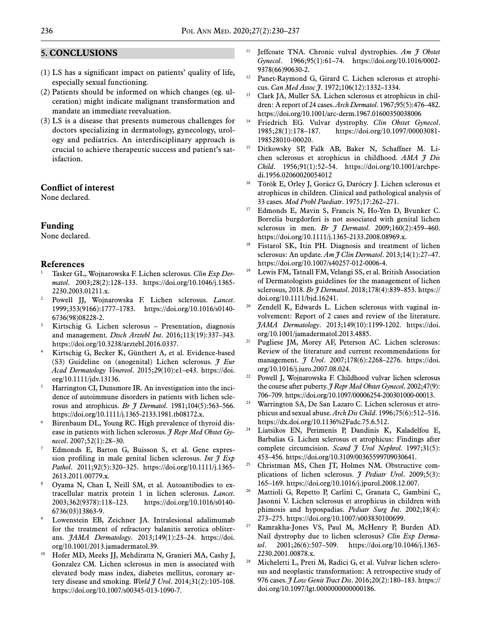#### **5. CONCLUSIONS**

- (1) LS has a significant impact on patients' quality of life, especially sexual functioning.
- (2) Patients should be informed on which changes (eg. ulceration) might indicate malignant transformation and mandate an immediate reevaluation.
- (3) LS is a disease that presents numerous challenges for doctors specializing in dermatology, gynecology, urology and pediatrics. An interdisciplinary approach is crucial to achieve therapeutic success and patient's satisfaction.

#### **Conflict of interest**

None declared.

#### **Funding**

None declared.

#### **References**

- <sup>1</sup> Tasker GL, Wojnarowska F. Lichen sclerosus. *Clin Exp Dermatol*. 2003;28(2):128–133. https://doi.org/10.1046/j.1365- 2230.2003.01211.x.
- <sup>2</sup> Powell JJ, Wojnarowska F. Lichen sclerosus. *Lancet*. 1999;353(9166):1777–1783. https://doi.org/10.1016/s0140- 6736(98)08228-2.
- <sup>3</sup> Kirtschig G. Lichen sclerosus Presentation, diagnosis and management. *Dtsch Arztebl Int*. 2016;113(19):337–343. https://doi.org/10.3238/arztebl.2016.0337.
- Kirtschig G, Becker K, Günthert A, et al. Evidence-based (S3) Guideline on (anogenital) Lichen sclerosus. *J Eur Acad Dermatology Venereol*. 2015;29(10):e1–e43. https://doi. org/10.1111/jdv.13136.
- <sup>5</sup> Harrington CI, Dunsmore IR. An investigation into the incidence of autoimmune disorders in patients with lichen sclerosus and atrophicus. *Br J Dermatol*. 1981;104(5):563–566. https://doi.org/10.1111/j.1365-2133.1981.tb08172.x.
- Birenbaum DL, Young RC. High prevalence of thyroid disease in patients with lichen sclerosus. *J Repr Med Obstet Gy-*
- Edmonds E, Barton G, Buisson S, et al. Gene expression profiling in male genital lichen sclerosus. *Int J Exp Pathol*. 2011;92(5):320–325. https://doi.org/10.1111/j.1365- 2613.2011.00779.x.
- <sup>8</sup> Oyama N, Chan I, Neill SM, et al. Autoantibodies to extracellular matrix protein 1 in lichen sclerosus. *Lancet*. 2003;362(9378):118–123. https://doi.org/10.1016/s0140- 6736(03)13863-9.
- Lowenstein EB, Zeichner JA. Intralesional adalimumab for the treatment of refractory balanitis xerotica obliterans. *JAMA Dermatology*. 2013;149(1):23–24. https://doi. org/10.1001/2013.jamadermatol.39.
- <sup>10</sup> Hofer MD, Meeks JJ, Mehdiratta N, Granieri MA, Cashy J, Gonzalez CM. Lichen sclerosus in men is associated with elevated body mass index, diabetes mellitus, coronary artery disease and smoking. *World J Urol*. 2014;31(2):105-108. https://doi.org/10.1007/s00345-013-1090-7.
- <sup>11</sup> Jeffcoate TNA. Chronic vulval dystrophies. Am  $\tilde{\tau}$  Obstet *Gynecol*. 1966;95(1):61–74. https://doi.org/10.1016/0002- 9378(66)90630-2.
- <sup>12</sup> Panet-Raymond G, Girard C. Lichen sclerosus et atrophicus. *Can Med Assoc J*. 1972;106(12):1332–1334.
- <sup>13</sup> Clark JA, Muller SA. Lichen sclerosus et atrophicus in children: A report of 24 cases. *Arch Dermatol*. 1967;95(5):476–482. https://doi.org/10.1001/arc-derm.1967.01600350038006
- <sup>14</sup> Friedrich EG. Vulvar dystrophy. *Clin Obstet Gynecol*. 1985;28(1):178–187. https://doi.org/10.1097/00003081- 198528010-00020.
- <sup>15</sup> Ditkowsky SP, Falk AB, Baker N, Schaffner M. Lichen sclerosus et atrophicus in childhood. *AMA J Dis Child*. 1956;91(1):52–54. https://doi.org/10.1001/archpedi.1956.02060020054012
- <sup>16</sup> Török E, Orley J, Gorácz G, Daróczy J. Lichen sclerosus et atrophicus in children. Clinical and pathological analysis of 33 cases. *Mod Probl Paediatr*. 1975;17:262–271.
- Edmonds E, Mavin S, Francis N, Ho-Yen D, Bvunker C. Borrelia burgdorferi is not associated with genital lichen sclerosus in men. *Br J Dermatol*. 2009;160(2):459–460. https://doi.org/10.1111/j.1365-2133.2008.08969.x.
- <sup>18</sup> Fistarol SK, Itin PH. Diagnosis and treatment of lichen sclerosus: An update. *Am J Clin Dermatol*. 2013;14(1):27–47. https://doi.org/10.1007/s40257-012-0006-4.
- <sup>19</sup> Lewis FM, Tatnall FM, Velangi SS, et al. British Association of Dermatologists guidelines for the management of lichen sclerosus, 2018. *Br J Dermatol*. 2018;178(4):839–853. https:// doi.org/10.1111/bjd.16241.
- <sup>20</sup> Zendell K, Edwards L. Lichen sclerosus with vaginal involvement: Report of 2 cases and review of the literature. *JAMA Dermatology*. 2013;149(10):1199-1202. https://doi. org/10.1001/jamadermatol.2013.4885.
- <sup>21</sup> Pugliese JM, Morey AF, Peterson AC. Lichen sclerosus: Review of the literature and current recommendations for management. *J Urol*. 2007;178(6):2268–2276. https://doi. org/10.1016/j.juro.2007.08.024.
- <sup>22</sup> Powell J, Wojnarowska F. Childhood vulvar lichen sclerosus the course after puberty. *J Repr Med Obstet Gynecol*. 2002;47(9): 706–709. https://doi.org/10.1097/00006254-200301000-00013.
- <sup>23</sup> Warrington SA, De San Lazaro C. Lichen sclerosus et atrophicus and sexual abuse. *Arch Dis Child*. 1996;75(6):512–516. https://dx.doi.org/10.1136%2Fadc.75.6.512.
- <sup>24</sup> Liatsikos EN, Perimenis P, Dandinis K, Kaladelfou E, Barbalias G. Lichen sclerosus et atrophicus: Findings after complete circumcision. *Scand J Urol Nephrol*. 1997;31(5): 453–456. https://doi.org/10.3109/00365599709030641.
- $25$  Christman MS, Chen IT, Holmes NM. Obstructive complications of lichen sclerosus. *J Pediatr Urol*. 2009;5(3): 165–169. https://doi.org/10.1016/j.jpurol.2008.12.007.
- <sup>26</sup> Mattioli G, Repetto P, Carlini C, Granata C, Gambini C, Jasonni V. Lichen sclerosus et atrophicus in children with phimosis and hypospadias. *Pediatr Surg Int*. 2002;18(4): 273–275. https://doi.org/10.1007/s003830100699.
- <sup>27</sup> Ramrakha-Jones VS, Paul M, McHenry P, Burden AD. Nail dystrophy due to lichen sclerosus? *Clin Exp Dermatol*. 2001;26(6):507–509. https://doi.org/10.1046/j.1365- 2230.2001.00878.x.
- <sup>28</sup> Micheletti L, Preti M, Radici G, et al. Vulvar lichen sclerosus and neoplastic transformation: A retrospective study of 976 cases. *J Low Genit Tract Dis*. 2016;20(2):180–183. https:// doi.org/10.1097/lgt.0000000000000186.